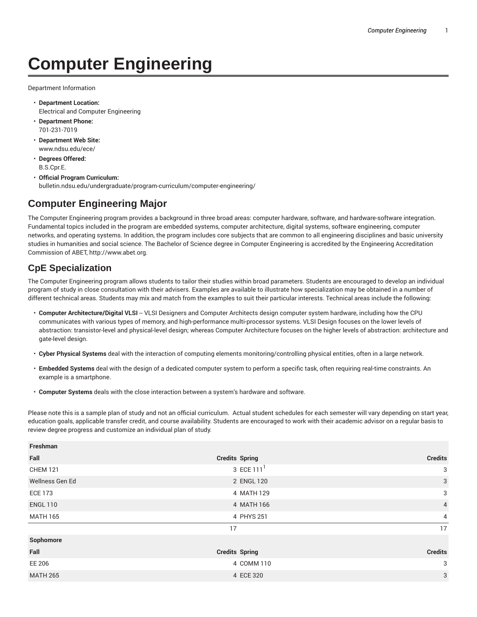# **Computer Engineering**

Department Information

- **Department Location:** Electrical and Computer Engineering
- **Department Phone:** 701-231-7019
- **Department Web Site:** www.ndsu.edu/ece/
- **Degrees Offered:** B.S.Cpr.E.
- **Official Program Curriculum:** bulletin.ndsu.edu/undergraduate/program-curriculum/computer-engineering/

## **Computer Engineering Major**

The Computer Engineering program provides a background in three broad areas: computer hardware, software, and hardware-software integration. Fundamental topics included in the program are embedded systems, computer architecture, digital systems, software engineering, computer networks, and operating systems. In addition, the program includes core subjects that are common to all engineering disciplines and basic university studies in humanities and social science. The Bachelor of Science degree in Computer Engineering is accredited by the Engineering Accreditation Commission of ABET, http://www.abet.org.

### **CpE Specialization**

The Computer Engineering program allows students to tailor their studies within broad parameters. Students are encouraged to develop an individual program of study in close consultation with their advisers. Examples are available to illustrate how specialization may be obtained in a number of different technical areas. Students may mix and match from the examples to suit their particular interests. Technical areas include the following:

- Computer Architecture/Digital VLSI -- VLSI Designers and Computer Architects design computer system hardware, including how the CPU communicates with various types of memory, and high-performance multi-processor systems. VLSI Design focuses on the lower levels of abstraction: transistor-level and physical-level design; whereas Computer Architecture focuses on the higher levels of abstraction: architecture and gate-level design.
- **Cyber Physical Systems** deal with the interaction of computing elements monitoring/controlling physical entities, often in a large network.
- **Embedded Systems** deal with the design of a dedicated computer system to perform a specific task, often requiring real-time constraints. An example is a smartphone.
- **Computer Systems** deals with the close interaction between a system's hardware and software.

Please note this is a sample plan of study and not an official curriculum. Actual student schedules for each semester will vary depending on start year, education goals, applicable transfer credit, and course availability. Students are encouraged to work with their academic advisor on a regular basis to review degree progress and customize an individual plan of study.

| Freshman        |                       |                |
|-----------------|-----------------------|----------------|
| Fall            | <b>Credits Spring</b> | <b>Credits</b> |
| <b>CHEM 121</b> | 3 ECE 111 $1$         | 3              |
| Wellness Gen Ed | 2 ENGL 120            | 3              |
| <b>ECE 173</b>  | 4 MATH 129            | 3              |
| <b>ENGL 110</b> | 4 MATH 166            | $\overline{4}$ |
| <b>MATH 165</b> | 4 PHYS 251            | $\overline{4}$ |
|                 | 17                    | 17             |
| Sophomore       |                       |                |
| Fall            | <b>Credits Spring</b> | <b>Credits</b> |
| EE 206          | 4 COMM 110            | 3              |
| <b>MATH 265</b> | 4 ECE 320             | 3              |